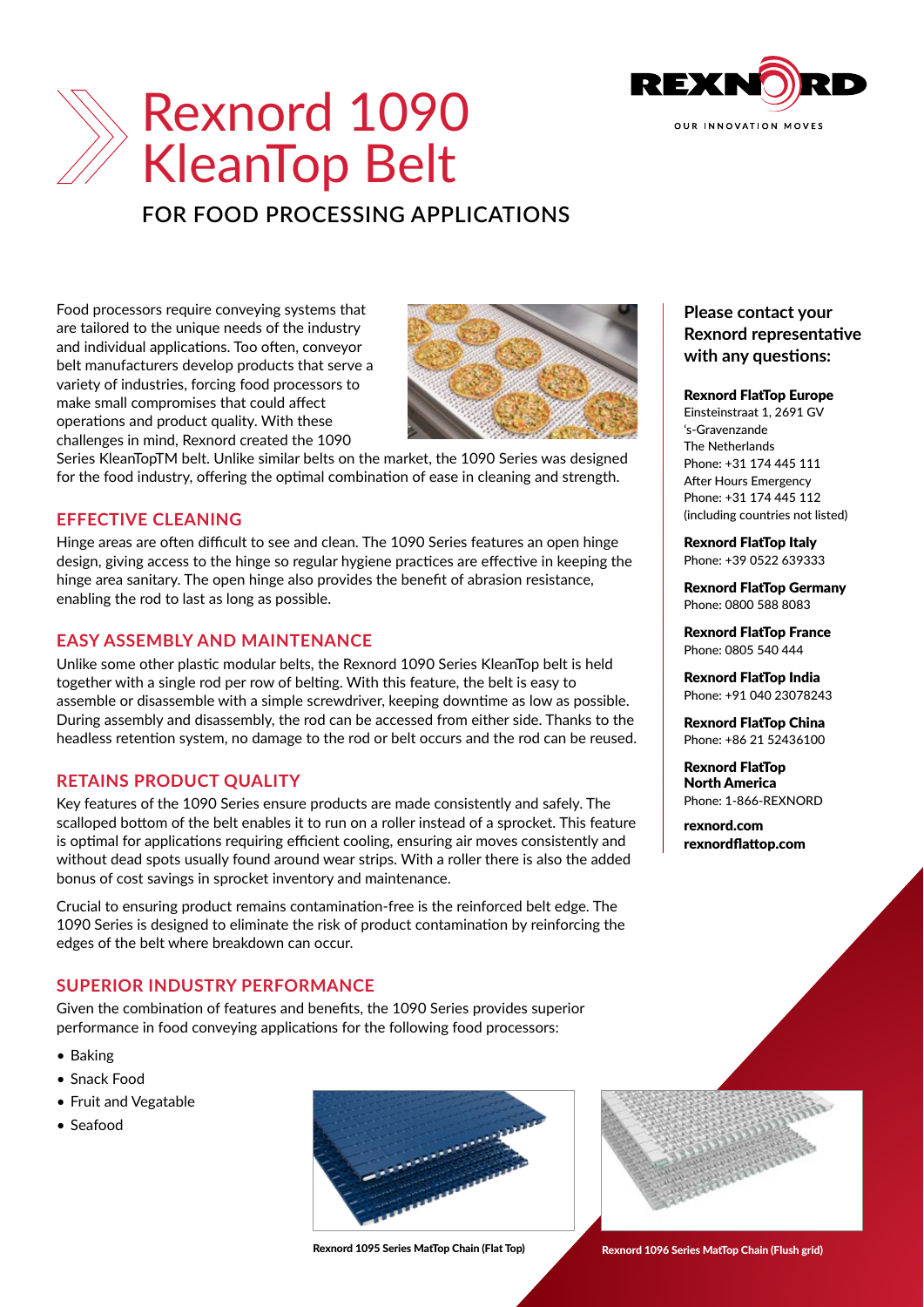

# Rexnord 1090 KleanTop Belt

# **FOR FOOD PROCESSING APPLICATIONS**

Food processors require conveying systems that are tailored to the unique needs of the industry and individual applications. Too often, conveyor belt manufacturers develop products that serve a variety of industries, forcing food processors to make small compromises that could affect operations and product quality. With these challenges in mind, Rexnord created the 1090



Series KleanTopTM belt. Unlike similar belts on the market, the 1090 Series was designed for the food industry, offering the optimal combination of ease in cleaning and strength.

#### **EFFECTIVE CLEANING**

Hinge areas are often difficult to see and clean. The 1090 Series features an open hinge design, giving access to the hinge so regular hygiene practices are effective in keeping the hinge area sanitary. The open hinge also provides the benefit of abrasion resistance, enabling the rod to last as long as possible.

#### **EASY ASSEMBLY AND MAINTENANCE**

Unlike some other plastic modular belts, the Rexnord 1090 Series KleanTop belt is held together with a single rod per row of belting. With this feature, the belt is easy to assemble or disassemble with a simple screwdriver, keeping downtime as low as possible. During assembly and disassembly, the rod can be accessed from either side. Thanks to the headless retention system, no damage to the rod or belt occurs and the rod can be reused.

# **RETAINS PRODUCT QUALITY**

Key features of the 1090 Series ensure products are made consistently and safely. The scalloped bottom of the belt enables it to run on a roller instead of a sprocket. This feature is optimal for applications requiring efficient cooling, ensuring air moves consistently and without dead spots usually found around wear strips. With a roller there is also the added bonus of cost savings in sprocket inventory and maintenance.

Crucial to ensuring product remains contamination-free is the reinforced belt edge. The 1090 Series is designed to eliminate the risk of product contamination by reinforcing the edges of the belt where breakdown can occur.

# **SUPERIOR INDUSTRY PERFORMANCE**

Given the combination of features and benefits, the 1090 Series provides superior performance in food conveying applications for the following food processors:

- Baking
- Snack Food
- Fruit and Vegatable
- Seafood



Rexnord 1095 Series MatTop Chain (Flat Top) Rexnord 1096 Series MatTop Chain (Flush grid)

# **Please contact your Rexnord representative with any questions:**

#### Rexnord FlatTop Europe

Einsteinstraat 1, 2691 GV 's-Gravenzande The Netherlands Phone: +31 174 445 111 After Hours Emergency Phone: +31 174 445 112 (including countries not listed)

Rexnord FlatTop Italy Phone: +39 0522 639333

Rexnord FlatTop Germany Phone: 0800 588 8083

Rexnord FlatTop France Phone: 0805 540 444

Rexnord FlatTop India Phone: +91 040 23078243

Rexnord FlatTop China Phone: +86 21 52436100

Rexnord FlatTop North America Phone: 1-866-REXNORD

[rexnord.com](http://www.rexnord.com) [rexnordflattop.com](http://www.rexnordflattop.com
)